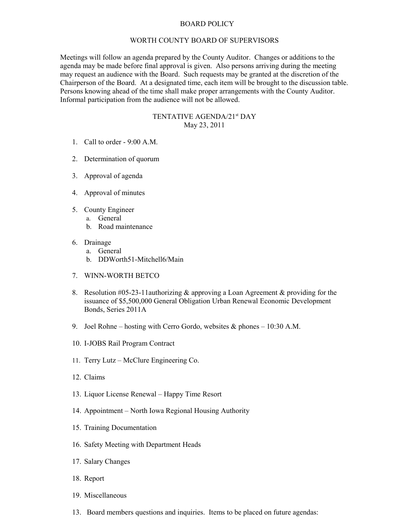## BOARD POLICY

## WORTH COUNTY BOARD OF SUPERVISORS

Meetings will follow an agenda prepared by the County Auditor. Changes or additions to the agenda may be made before final approval is given. Also persons arriving during the meeting may request an audience with the Board. Such requests may be granted at the discretion of the Chairperson of the Board. At a designated time, each item will be brought to the discussion table. Persons knowing ahead of the time shall make proper arrangements with the County Auditor. Informal participation from the audience will not be allowed.

## TENTATIVE AGENDA/21st DAY May 23, 2011

- 1. Call to order 9:00 A.M.
- 2. Determination of quorum
- 3. Approval of agenda
- 4. Approval of minutes
- 5. County Engineer
	- a. General
		- b. Road maintenance
- 6. Drainage
	- a. General
	- b. DDWorth51-Mitchell6/Main
- 7. WINN-WORTH BETCO
- 8. Resolution #05-23-11 authorizing & approving a Loan Agreement & providing for the issuance of \$5,500,000 General Obligation Urban Renewal Economic Development Bonds, Series 2011A
- 9. Joel Rohne hosting with Cerro Gordo, websites & phones 10:30 A.M.
- 10. I-JOBS Rail Program Contract
- 11. Terry Lutz McClure Engineering Co.
- 12. Claims
- 13. Liquor License Renewal Happy Time Resort
- 14. Appointment North Iowa Regional Housing Authority
- 15. Training Documentation
- 16. Safety Meeting with Department Heads
- 17. Salary Changes
- 18. Report
- 19. Miscellaneous
- 13. Board members questions and inquiries. Items to be placed on future agendas: